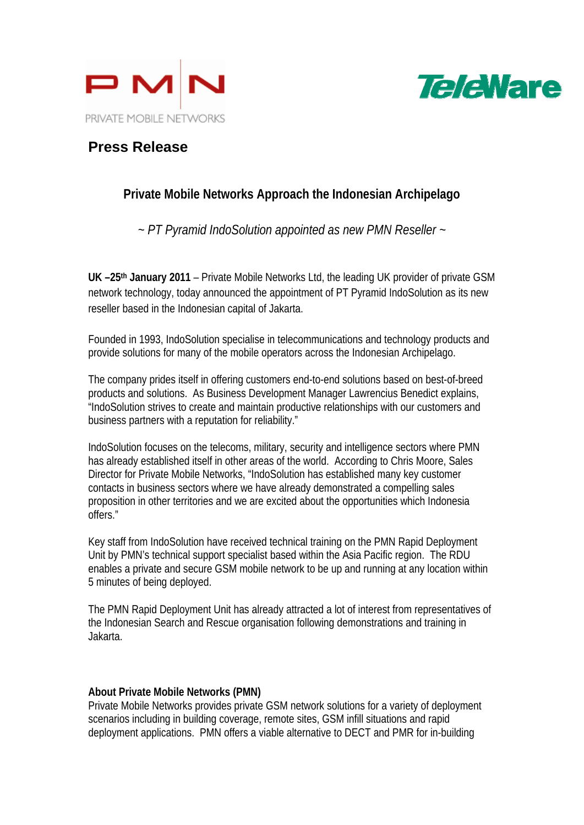



## **Press Release**

## **Private Mobile Networks Approach the Indonesian Archipelago**

*~ PT Pyramid IndoSolution appointed as new PMN Reseller ~* 

**UK –25th January 2011** – Private Mobile Networks Ltd, the leading UK provider of private GSM network technology, today announced the appointment of PT Pyramid IndoSolution as its new reseller based in the Indonesian capital of Jakarta.

Founded in 1993, IndoSolution specialise in telecommunications and technology products and provide solutions for many of the mobile operators across the Indonesian Archipelago.

The company prides itself in offering customers end-to-end solutions based on best-of-breed products and solutions. As Business Development Manager Lawrencius Benedict explains, "IndoSolution strives to create and maintain productive relationships with our customers and business partners with a reputation for reliability."

IndoSolution focuses on the telecoms, military, security and intelligence sectors where PMN has already established itself in other areas of the world. According to Chris Moore, Sales Director for Private Mobile Networks, "IndoSolution has established many key customer contacts in business sectors where we have already demonstrated a compelling sales proposition in other territories and we are excited about the opportunities which Indonesia offers."

Key staff from IndoSolution have received technical training on the PMN Rapid Deployment Unit by PMN's technical support specialist based within the Asia Pacific region. The RDU enables a private and secure GSM mobile network to be up and running at any location within 5 minutes of being deployed.

The PMN Rapid Deployment Unit has already attracted a lot of interest from representatives of the Indonesian Search and Rescue organisation following demonstrations and training in Jakarta.

## **About Private Mobile Networks (PMN)**

Private Mobile Networks provides private GSM network solutions for a variety of deployment scenarios including in building coverage, remote sites, GSM infill situations and rapid deployment applications. PMN offers a viable alternative to DECT and PMR for in-building